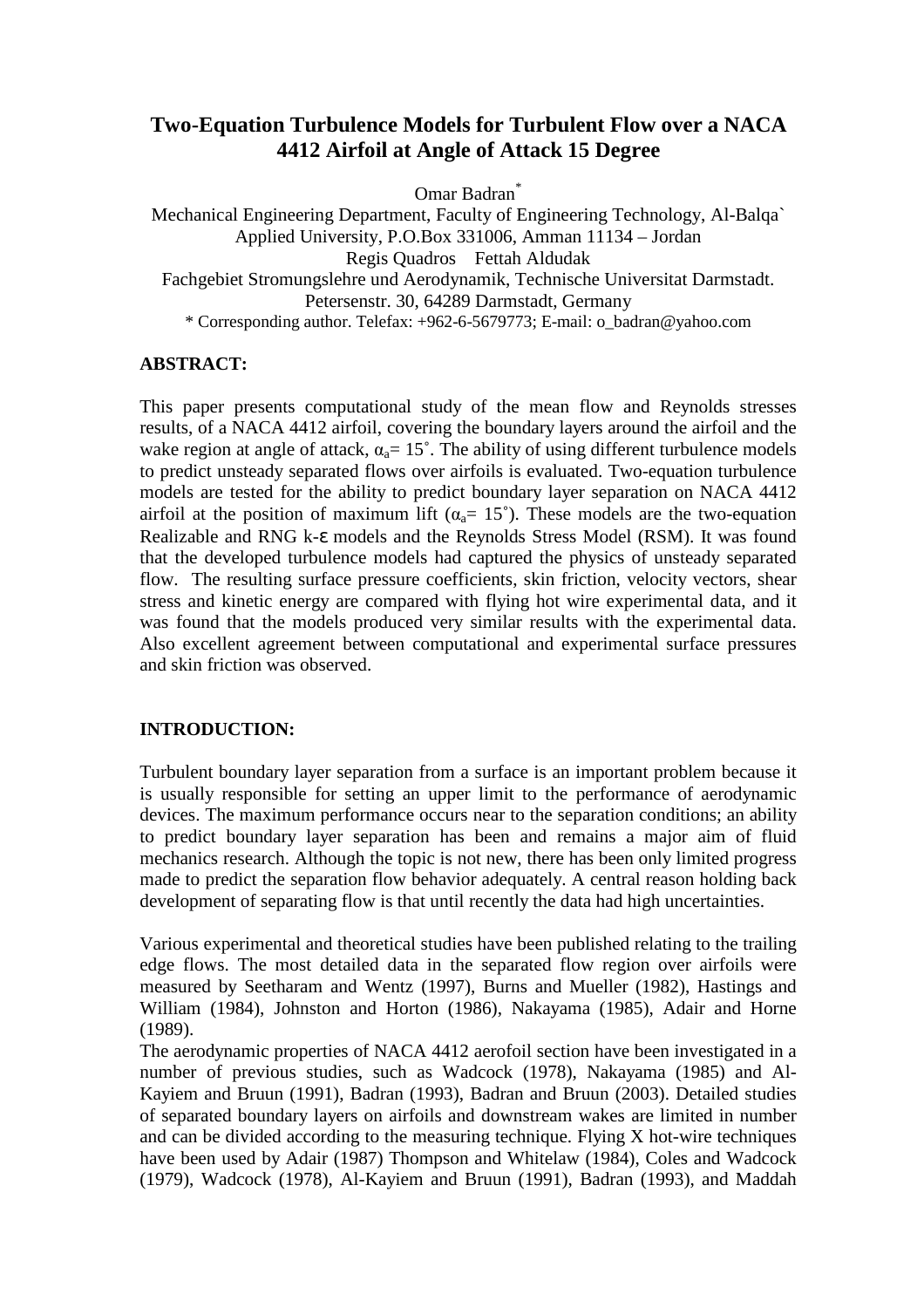# **Two-Equation Turbulence Models for Turbulent Flow over a NACA 4412 Airfoil at Angle of Attack 15 Degree**

Omar Badran\*

Mechanical Engineering Department, Faculty of Engineering Technology, Al-Balqa` Applied University, P.O.Box 331006, Amman 11134 – Jordan Regis Quadros Fettah Aldudak Fachgebiet Stromungslehre und Aerodynamik, Technische Universitat Darmstadt. Petersenstr. 30, 64289 Darmstadt, Germany \* Corresponding author. Telefax: +962-6-5679773; E-mail: o\_badran@yahoo.com

## **ABSTRACT:**

This paper presents computational study of the mean flow and Reynolds stresses results, of a NACA 4412 airfoil, covering the boundary layers around the airfoil and the wake region at angle of attack,  $\alpha_a = 15^\circ$ . The ability of using different turbulence models to predict unsteady separated flows over airfoils is evaluated. Two-equation turbulence models are tested for the ability to predict boundary layer separation on NACA 4412 airfoil at the position of maximum lift ( $\alpha_0 = 15^{\circ}$ ). These models are the two-equation Realizable and RNG k-ε models and the Reynolds Stress Model (RSM). It was found that the developed turbulence models had captured the physics of unsteady separated flow. The resulting surface pressure coefficients, skin friction, velocity vectors, shear stress and kinetic energy are compared with flying hot wire experimental data, and it was found that the models produced very similar results with the experimental data. Also excellent agreement between computational and experimental surface pressures and skin friction was observed.

## **INTRODUCTION:**

Turbulent boundary layer separation from a surface is an important problem because it is usually responsible for setting an upper limit to the performance of aerodynamic devices. The maximum performance occurs near to the separation conditions; an ability to predict boundary layer separation has been and remains a major aim of fluid mechanics research. Although the topic is not new, there has been only limited progress made to predict the separation flow behavior adequately. A central reason holding back development of separating flow is that until recently the data had high uncertainties.

Various experimental and theoretical studies have been published relating to the trailing edge flows. The most detailed data in the separated flow region over airfoils were measured by Seetharam and Wentz (1997), Burns and Mueller (1982), Hastings and William (1984), Johnston and Horton (1986), Nakayama (1985), Adair and Horne (1989).

The aerodynamic properties of NACA 4412 aerofoil section have been investigated in a number of previous studies, such as Wadcock (1978), Nakayama (1985) and Al-Kayiem and Bruun (1991), Badran (1993), Badran and Bruun (2003). Detailed studies of separated boundary layers on airfoils and downstream wakes are limited in number and can be divided according to the measuring technique. Flying X hot-wire techniques have been used by Adair (1987) Thompson and Whitelaw (1984), Coles and Wadcock (1979), Wadcock (1978), Al-Kayiem and Bruun (1991), Badran (1993), and Maddah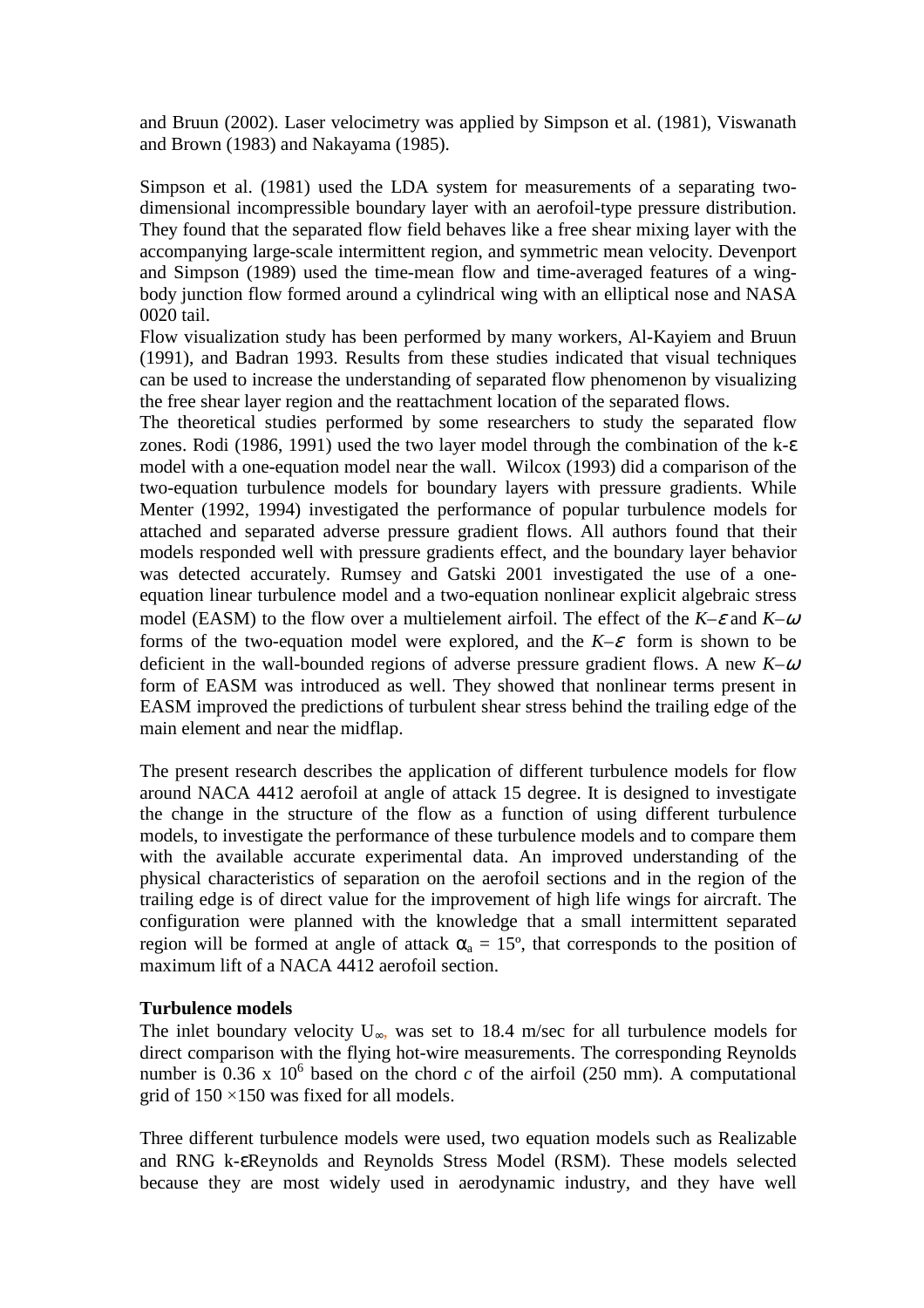and Bruun (2002). Laser velocimetry was applied by Simpson et al. (1981), Viswanath and Brown (1983) and Nakayama (1985).

Simpson et al. (1981) used the LDA system for measurements of a separating twodimensional incompressible boundary layer with an aerofoil-type pressure distribution. They found that the separated flow field behaves like a free shear mixing layer with the accompanying large-scale intermittent region, and symmetric mean velocity. Devenport and Simpson (1989) used the time-mean flow and time-averaged features of a wingbody junction flow formed around a cylindrical wing with an elliptical nose and NASA 0020 tail.

Flow visualization study has been performed by many workers, Al-Kayiem and Bruun (1991), and Badran 1993. Results from these studies indicated that visual techniques can be used to increase the understanding of separated flow phenomenon by visualizing the free shear layer region and the reattachment location of the separated flows.

The theoretical studies performed by some researchers to study the separated flow zones. Rodi (1986, 1991) used the two layer model through the combination of the k-ε model with a one-equation model near the wall. Wilcox (1993) did a comparison of the two-equation turbulence models for boundary layers with pressure gradients. While Menter (1992, 1994) investigated the performance of popular turbulence models for attached and separated adverse pressure gradient flows. All authors found that their models responded well with pressure gradients effect, and the boundary layer behavior was detected accurately. Rumsey and Gatski 2001 investigated the use of a oneequation linear turbulence model and a two-equation nonlinear explicit algebraic stress model (EASM) to the flow over a multielement airfoil. The effect of the  $K-\varepsilon$  and  $K-\omega$ forms of the two-equation model were explored, and the  $K-\varepsilon$  form is shown to be deficient in the wall-bounded regions of adverse pressure gradient flows. A new *K*–<sup>ω</sup> form of EASM was introduced as well. They showed that nonlinear terms present in EASM improved the predictions of turbulent shear stress behind the trailing edge of the main element and near the midflap.

The present research describes the application of different turbulence models for flow around NACA 4412 aerofoil at angle of attack 15 degree. It is designed to investigate the change in the structure of the flow as a function of using different turbulence models, to investigate the performance of these turbulence models and to compare them with the available accurate experimental data. An improved understanding of the physical characteristics of separation on the aerofoil sections and in the region of the trailing edge is of direct value for the improvement of high life wings for aircraft. The configuration were planned with the knowledge that a small intermittent separated region will be formed at angle of attack  $\alpha_a = 15^{\circ}$ , that corresponds to the position of maximum lift of a NACA 4412 aerofoil section.

## **Turbulence models**

The inlet boundary velocity  $U_{\infty}$ , was set to 18.4 m/sec for all turbulence models for direct comparison with the flying hot-wire measurements. The corresponding Reynolds number is  $0.36 \times 10^6$  based on the chord *c* of the airfoil (250 mm). A computational grid of  $150 \times 150$  was fixed for all models.

Three different turbulence models were used, two equation models such as Realizable and RNG k-εReynolds and Reynolds Stress Model (RSM). These models selected because they are most widely used in aerodynamic industry, and they have well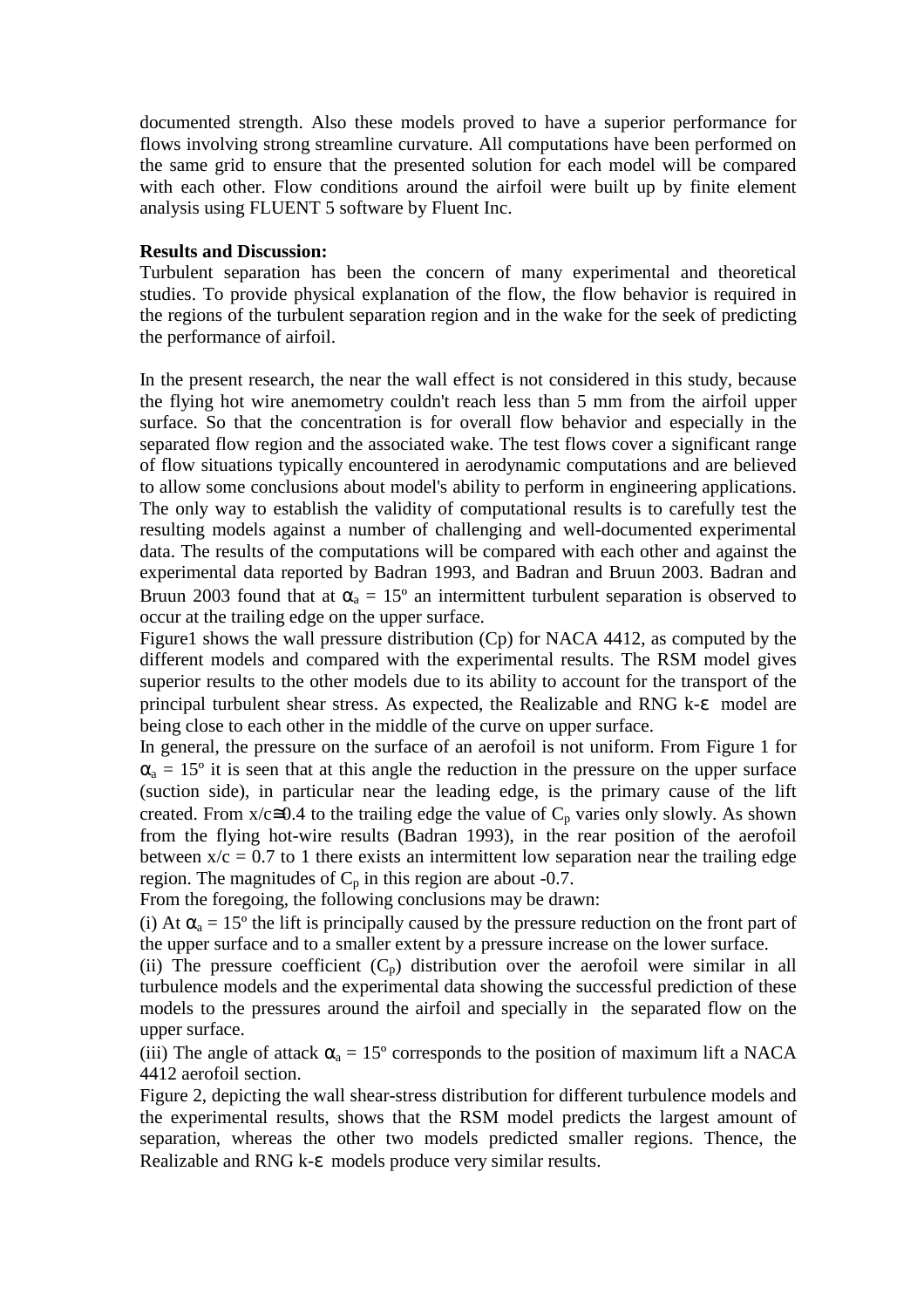documented strength. Also these models proved to have a superior performance for flows involving strong streamline curvature. All computations have been performed on the same grid to ensure that the presented solution for each model will be compared with each other. Flow conditions around the airfoil were built up by finite element analysis using FLUENT 5 software by Fluent Inc.

### **Results and Discussion:**

Turbulent separation has been the concern of many experimental and theoretical studies. To provide physical explanation of the flow, the flow behavior is required in the regions of the turbulent separation region and in the wake for the seek of predicting the performance of airfoil.

In the present research, the near the wall effect is not considered in this study, because the flying hot wire anemometry couldn't reach less than 5 mm from the airfoil upper surface. So that the concentration is for overall flow behavior and especially in the separated flow region and the associated wake. The test flows cover a significant range of flow situations typically encountered in aerodynamic computations and are believed to allow some conclusions about model's ability to perform in engineering applications. The only way to establish the validity of computational results is to carefully test the resulting models against a number of challenging and well-documented experimental data. The results of the computations will be compared with each other and against the experimental data reported by Badran 1993, and Badran and Bruun 2003. Badran and Bruun 2003 found that at  $\alpha_a = 15^\circ$  an intermittent turbulent separation is observed to occur at the trailing edge on the upper surface.

Figure1 shows the wall pressure distribution (Cp) for NACA 4412, as computed by the different models and compared with the experimental results. The RSM model gives superior results to the other models due to its ability to account for the transport of the principal turbulent shear stress. As expected, the Realizable and RNG k-ε model are being close to each other in the middle of the curve on upper surface.

In general, the pressure on the surface of an aerofoil is not uniform. From Figure 1 for  $\alpha_a = 15^{\circ}$  it is seen that at this angle the reduction in the pressure on the upper surface (suction side), in particular near the leading edge, is the primary cause of the lift created. From  $x/c \approx 0.4$  to the trailing edge the value of  $C_p$  varies only slowly. As shown from the flying hot-wire results (Badran 1993), in the rear position of the aerofoil between  $x/c = 0.7$  to 1 there exists an intermittent low separation near the trailing edge region. The magnitudes of  $C_p$  in this region are about -0.7.

From the foregoing, the following conclusions may be drawn:

(i) At  $\alpha_a = 15^{\circ}$  the lift is principally caused by the pressure reduction on the front part of the upper surface and to a smaller extent by a pressure increase on the lower surface.

(ii) The pressure coefficient  $(C_p)$  distribution over the aerofoil were similar in all turbulence models and the experimental data showing the successful prediction of these models to the pressures around the airfoil and specially in the separated flow on the upper surface.

(iii) The angle of attack  $\alpha_a = 15^\circ$  corresponds to the position of maximum lift a NACA 4412 aerofoil section.

Figure 2, depicting the wall shear-stress distribution for different turbulence models and the experimental results, shows that the RSM model predicts the largest amount of separation, whereas the other two models predicted smaller regions. Thence, the Realizable and RNG k-ε models produce very similar results.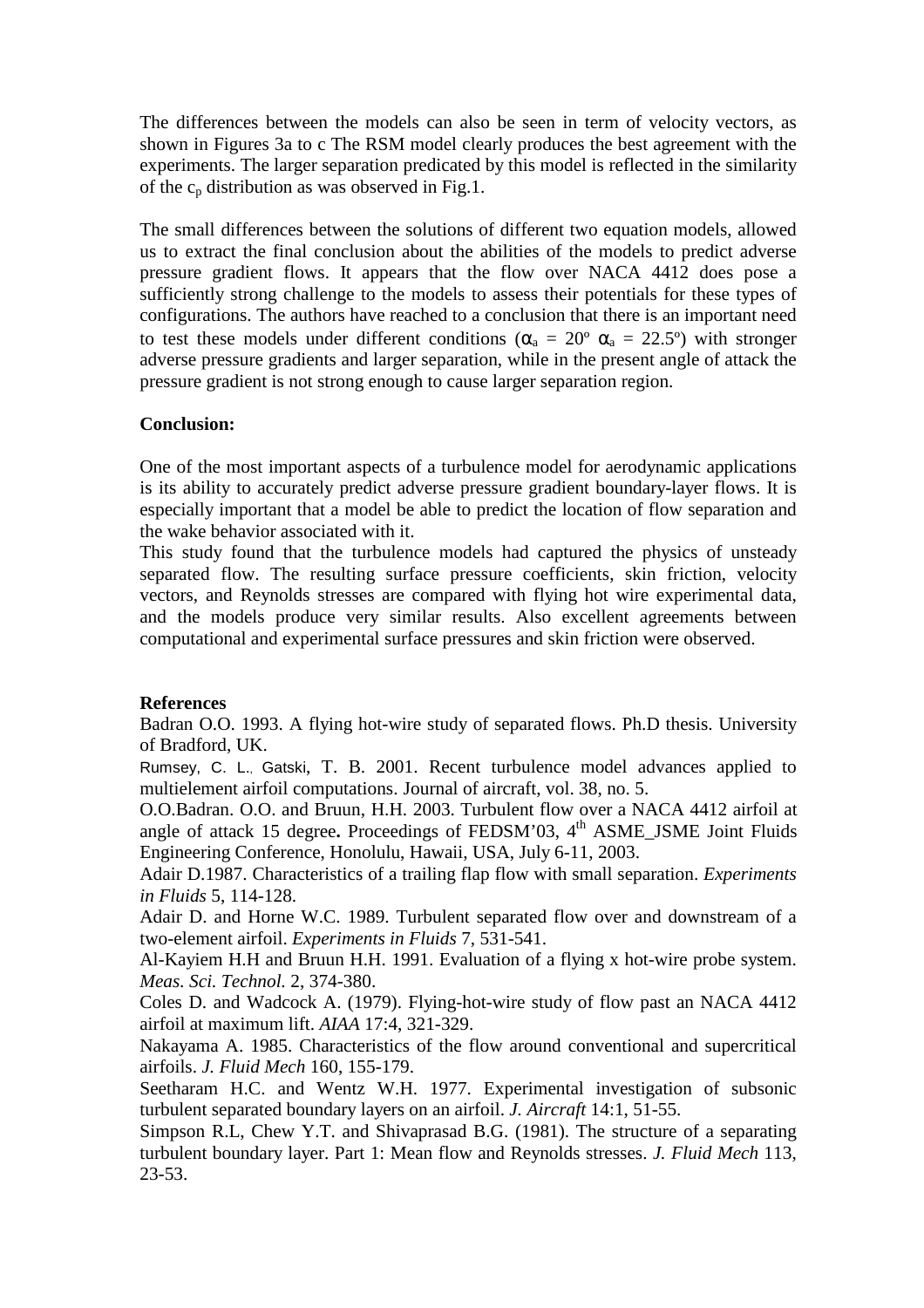The differences between the models can also be seen in term of velocity vectors, as shown in Figures 3a to c The RSM model clearly produces the best agreement with the experiments. The larger separation predicated by this model is reflected in the similarity of the  $c_p$  distribution as was observed in Fig.1.

The small differences between the solutions of different two equation models, allowed us to extract the final conclusion about the abilities of the models to predict adverse pressure gradient flows. It appears that the flow over NACA 4412 does pose a sufficiently strong challenge to the models to assess their potentials for these types of configurations. The authors have reached to a conclusion that there is an important need to test these models under different conditions ( $\alpha_a = 20^{\circ} \alpha_a = 22.5^{\circ}$ ) with stronger adverse pressure gradients and larger separation, while in the present angle of attack the pressure gradient is not strong enough to cause larger separation region.

## **Conclusion:**

One of the most important aspects of a turbulence model for aerodynamic applications is its ability to accurately predict adverse pressure gradient boundary-layer flows. It is especially important that a model be able to predict the location of flow separation and the wake behavior associated with it.

This study found that the turbulence models had captured the physics of unsteady separated flow. The resulting surface pressure coefficients, skin friction, velocity vectors, and Reynolds stresses are compared with flying hot wire experimental data, and the models produce very similar results. Also excellent agreements between computational and experimental surface pressures and skin friction were observed.

## **References**

Badran O.O. 1993. A flying hot-wire study of separated flows. Ph.D thesis. University of Bradford, UK.

Rumsey, C. L., Gatski, T. B. 2001. Recent turbulence model advances applied to multielement airfoil computations. Journal of aircraft, vol. 38, no. 5.

O.O.Badran. O.O. and Bruun, H.H. 2003. Turbulent flow over a NACA 4412 airfoil at angle of attack 15 degree. Proceedings of FEDSM'03, 4<sup>th</sup> ASME JSME Joint Fluids Engineering Conference, Honolulu, Hawaii, USA, July 6-11, 2003.

Adair D.1987. Characteristics of a trailing flap flow with small separation. *Experiments in Fluids* 5, 114-128.

Adair D. and Horne W.C. 1989. Turbulent separated flow over and downstream of a two-element airfoil. *Experiments in Fluids* 7, 531-541.

Al-Kayiem H.H and Bruun H.H. 1991. Evaluation of a flying x hot-wire probe system. *Meas. Sci. Technol.* 2, 374-380.

Coles D. and Wadcock A. (1979). Flying-hot-wire study of flow past an NACA 4412 airfoil at maximum lift. *AIAA* 17:4, 321-329.

Nakayama A. 1985. Characteristics of the flow around conventional and supercritical airfoils. *J. Fluid Mech* 160, 155-179.

Seetharam H.C. and Wentz W.H. 1977. Experimental investigation of subsonic turbulent separated boundary layers on an airfoil. *J. Aircraft* 14:1, 51-55.

Simpson R.L, Chew Y.T. and Shivaprasad B.G. (1981). The structure of a separating turbulent boundary layer. Part 1: Mean flow and Reynolds stresses. *J. Fluid Mech* 113, 23-53.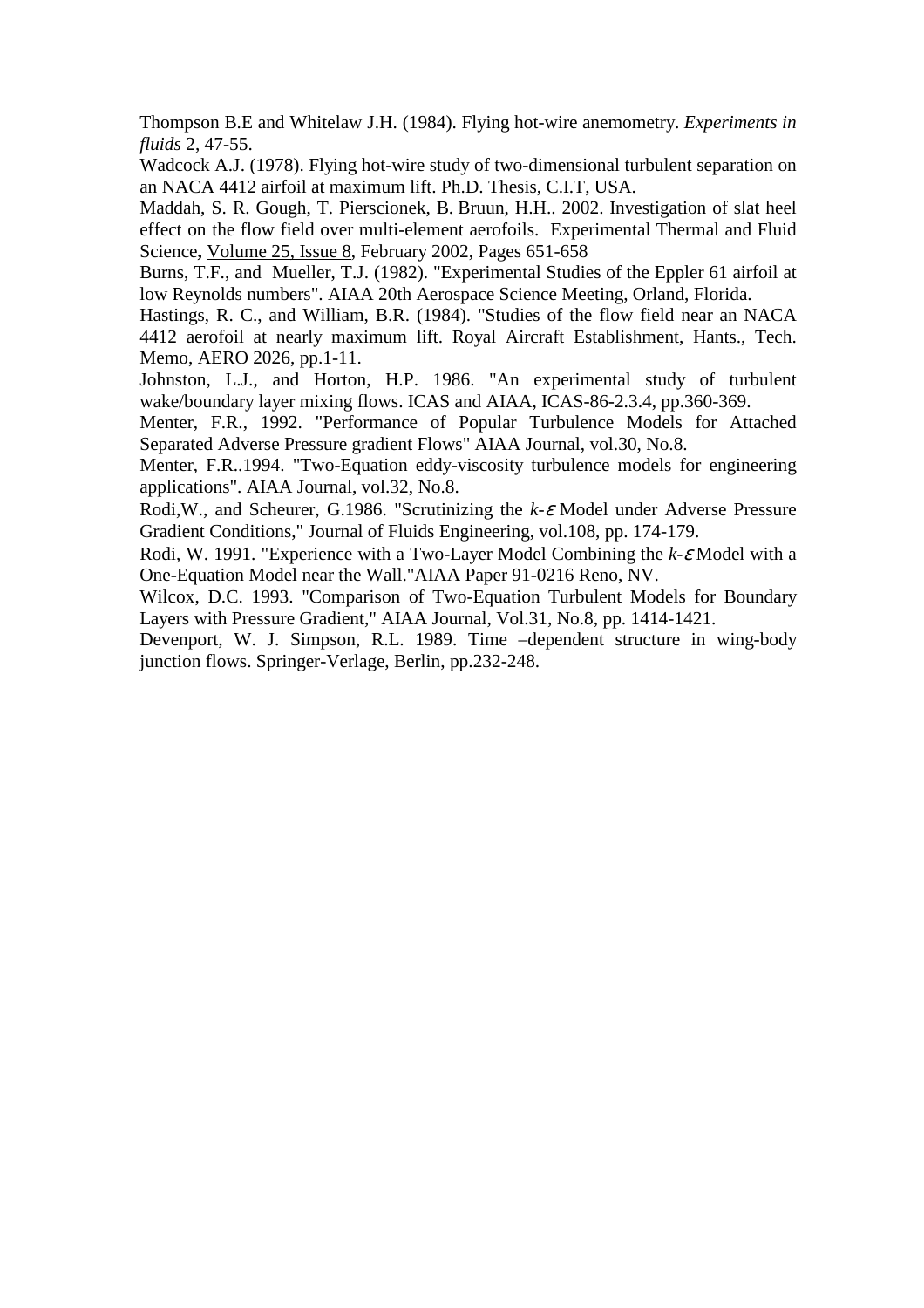Thompson B.E and Whitelaw J.H. (1984). Flying hot-wire anemometry. *Experiments in fluids* 2, 47-55.

Wadcock A.J. (1978). Flying hot-wire study of two-dimensional turbulent separation on an NACA 4412 airfoil at maximum lift. Ph.D. Thesis, C.I.T, USA.

Maddah, S. R. Gough, T. Pierscionek, B. Bruun, H.H.. 2002. Investigation of slat heel effect on the flow field over multi-element aerofoils. Experimental Thermal and Fluid Science**,** Volume 25, Issue 8, February 2002, Pages 651-658

Burns, T.F., and Mueller, T.J. (1982). "Experimental Studies of the Eppler 61 airfoil at low Reynolds numbers". AIAA 20th Aerospace Science Meeting, Orland, Florida.

Hastings, R. C., and William, B.R. (1984). "Studies of the flow field near an NACA 4412 aerofoil at nearly maximum lift. Royal Aircraft Establishment, Hants., Tech. Memo, AERO 2026, pp.1-11.

Johnston, L.J., and Horton, H.P. 1986. "An experimental study of turbulent wake/boundary layer mixing flows. ICAS and AIAA, ICAS-86-2.3.4, pp.360-369.

Menter, F.R., 1992. "Performance of Popular Turbulence Models for Attached Separated Adverse Pressure gradient Flows" AIAA Journal, vol.30, No.8.

Menter, F.R..1994. "Two-Equation eddy-viscosity turbulence models for engineering applications". AIAA Journal, vol.32, No.8.

Rodi,W., and Scheurer, G.1986. "Scrutinizing the *k-*ε Model under Adverse Pressure Gradient Conditions," Journal of Fluids Engineering, vol.108, pp. 174-179.

Rodi, W. 1991. "Experience with a Two-Layer Model Combining the *k-*<sup>ε</sup> Model with a One-Equation Model near the Wall."AIAA Paper 91-0216 Reno, NV.

Wilcox, D.C. 1993. "Comparison of Two-Equation Turbulent Models for Boundary Layers with Pressure Gradient," AIAA Journal, Vol.31, No.8, pp. 1414-1421.

Devenport, W. J. Simpson, R.L. 1989. Time –dependent structure in wing-body junction flows. Springer-Verlage, Berlin, pp.232-248.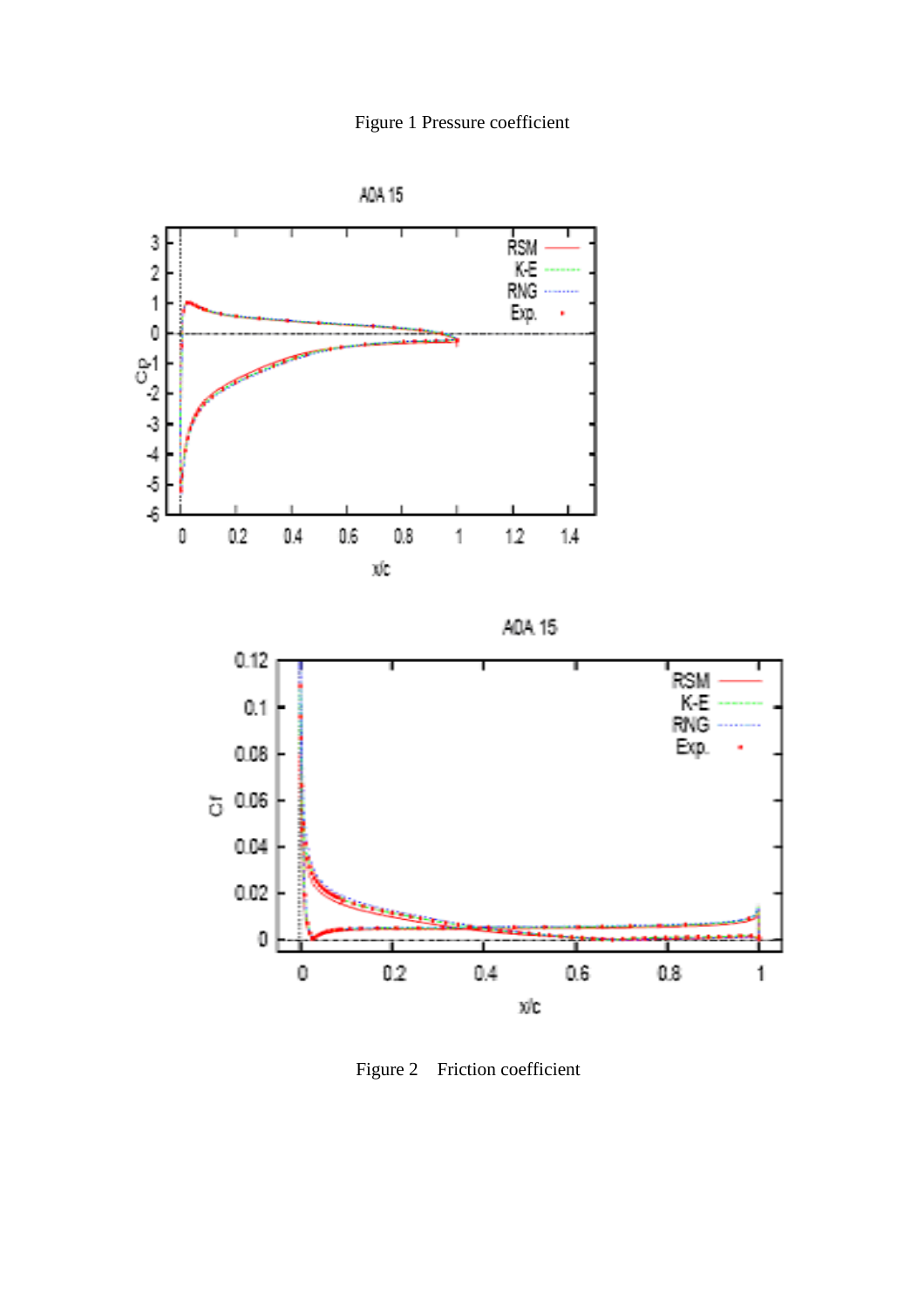



Figure 2 Friction coefficient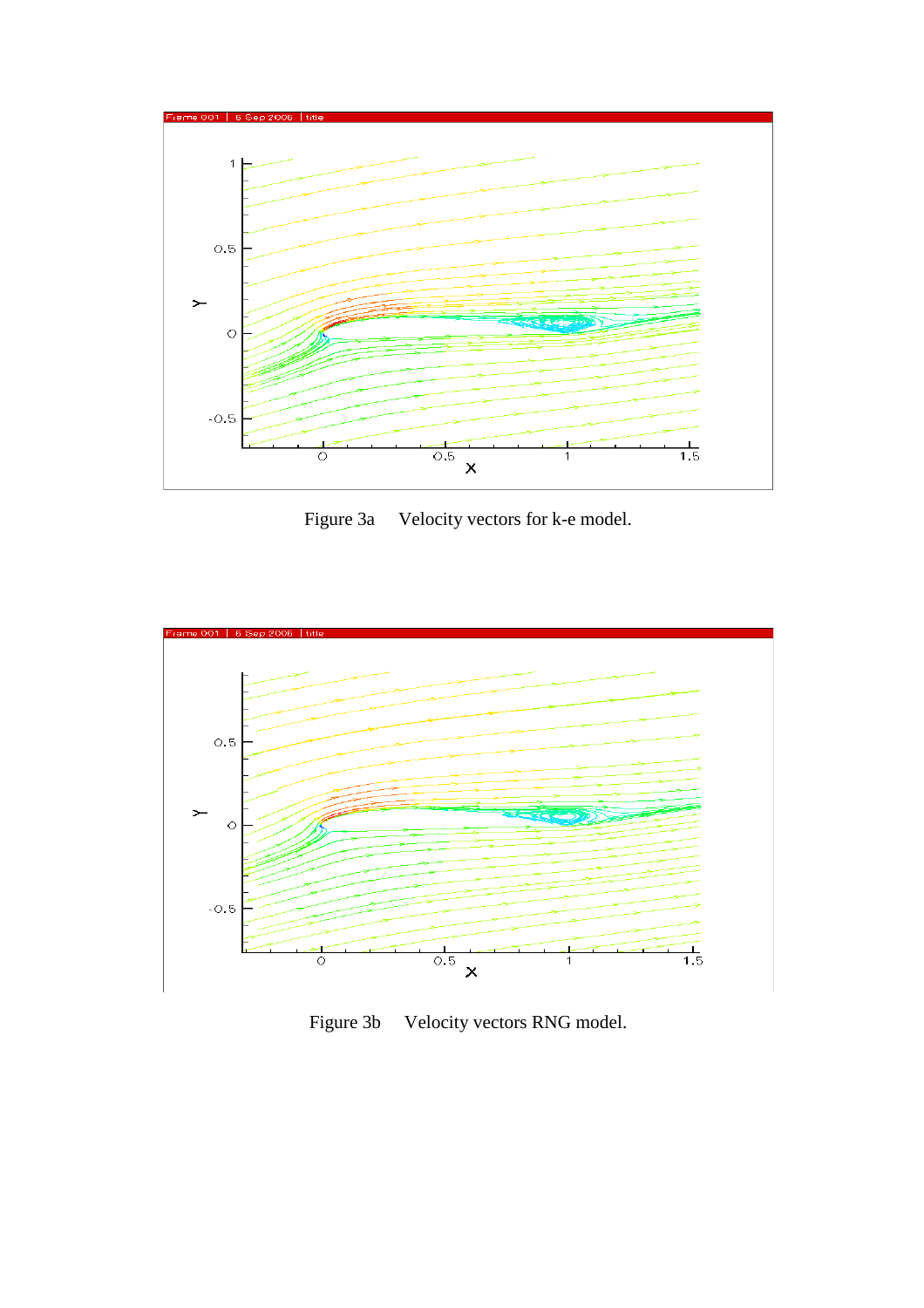

Figure 3a Velocity vectors for k-e model.



Figure 3b Velocity vectors RNG model.